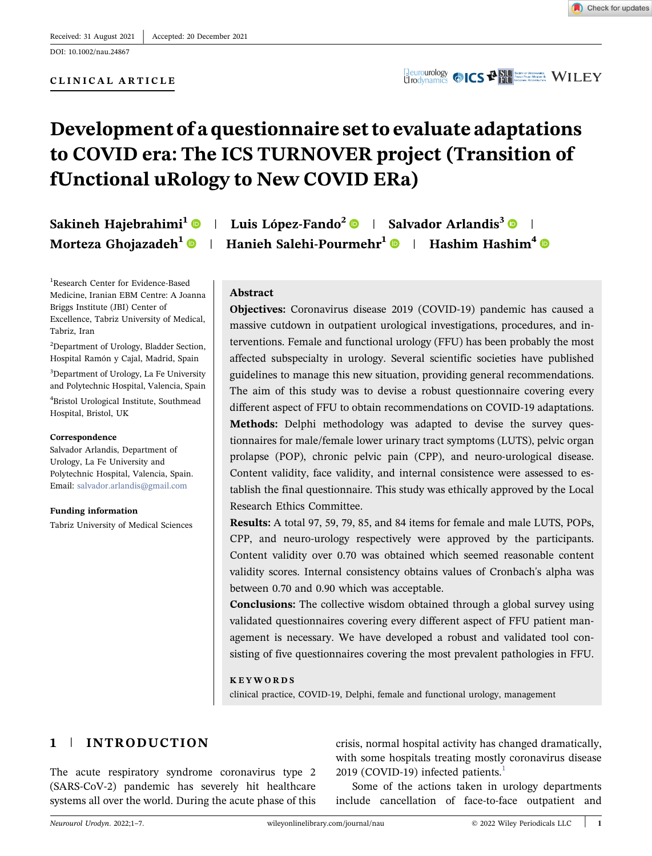DOI: 10.1002/nau.24867



# Development of a questionnaire set to evaluate adaptations to COVID era: The ICS TURNOVER project (Transition of fUnctional uRology to New COVID ERa)

Sakineh Hajebrahimi<sup>1</sup>  $\bullet$  | Luis López-Fando<sup>[2](http://orcid.org/0000-0002-2881-1329)</sup>  $\bullet$  | Salvador Arlandis<sup>3</sup>  $\bullet$  | Morteza Ghojazadeh<sup>[1](http://orcid.org/0000-0001-9030-2106)</sup>  $\bullet$  | Hanieh Salehi-Pourmehr<sup>1</sup>  $\bullet$  | Hashim Hashim<sup>[4](http://orcid.org/0000-0003-2467-407X)</sup>  $\bullet$ 

1 Research Center for Evidence‐Based Medicine, Iranian EBM Centre: A Joanna Briggs Institute (JBI) Center of Excellence, Tabriz University of Medical, Tabriz, Iran

<sup>2</sup>Department of Urology, Bladder Section, Hospital Ramón y Cajal, Madrid, Spain

3 Department of Urology, La Fe University and Polytechnic Hospital, Valencia, Spain 4 Bristol Urological Institute, Southmead Hospital, Bristol, UK

#### Correspondence

Salvador Arlandis, Department of Urology, La Fe University and Polytechnic Hospital, Valencia, Spain. Email: [salvador.arlandis@gmail.com](mailto:salvador.arlandis@gmail.com)

Funding information Tabriz University of Medical Sciences

# Abstract

Objectives: Coronavirus disease 2019 (COVID‐19) pandemic has caused a massive cutdown in outpatient urological investigations, procedures, and interventions. Female and functional urology (FFU) has been probably the most affected subspecialty in urology. Several scientific societies have published guidelines to manage this new situation, providing general recommendations. The aim of this study was to devise a robust questionnaire covering every different aspect of FFU to obtain recommendations on COVID‐19 adaptations. Methods: Delphi methodology was adapted to devise the survey questionnaires for male/female lower urinary tract symptoms (LUTS), pelvic organ prolapse (POP), chronic pelvic pain (CPP), and neuro‐urological disease. Content validity, face validity, and internal consistence were assessed to establish the final questionnaire. This study was ethically approved by the Local Research Ethics Committee.

Results: A total 97, 59, 79, 85, and 84 items for female and male LUTS, POPs, CPP, and neuro‐urology respectively were approved by the participants. Content validity over 0.70 was obtained which seemed reasonable content validity scores. Internal consistency obtains values of Cronbach's alpha was between 0.70 and 0.90 which was acceptable.

Conclusions: The collective wisdom obtained through a global survey using validated questionnaires covering every different aspect of FFU patient management is necessary. We have developed a robust and validated tool consisting of five questionnaires covering the most prevalent pathologies in FFU.

#### KEYWORDS

clinical practice, COVID‐19, Delphi, female and functional urology, management

# 1 | INTRODUCTION

The acute respiratory syndrome coronavirus type 2 (SARS‐CoV‐2) pandemic has severely hit healthcare systems all over the world. During the acute phase of this crisis, normal hospital activity has changed dramatically, with some hospitals treating mostly coronavirus disease 20[1](#page-6-0)9 (COVID-19) infected patients.<sup>1</sup>

Some of the actions taken in urology departments include cancellation of face‐to‐face outpatient and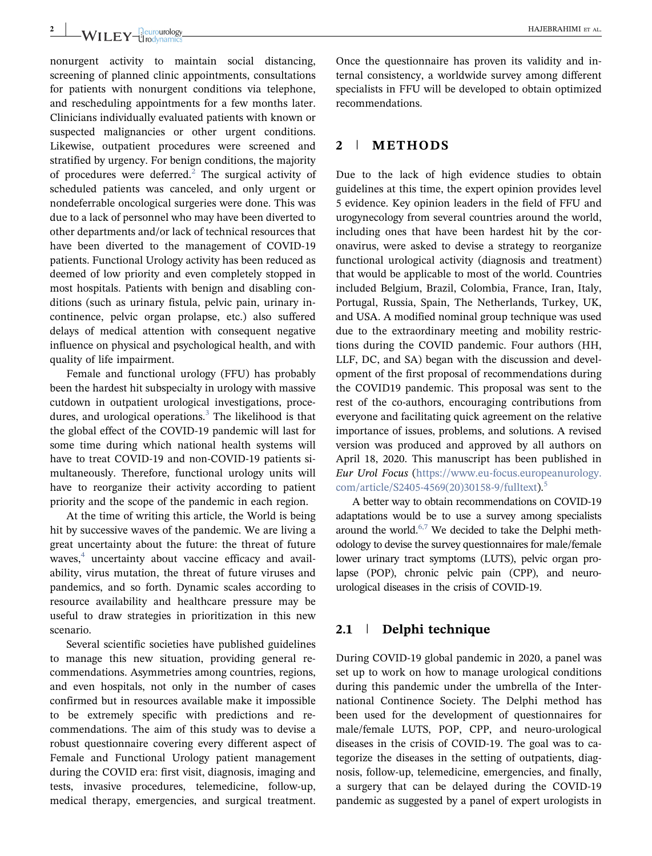nonurgent activity to maintain social distancing, screening of planned clinic appointments, consultations for patients with nonurgent conditions via telephone, and rescheduling appointments for a few months later. Clinicians individually evaluated patients with known or suspected malignancies or other urgent conditions. Likewise, outpatient procedures were screened and stratified by urgency. For benign conditions, the majority of procedures were deferred.<sup>[2](#page-6-1)</sup> The surgical activity of scheduled patients was canceled, and only urgent or nondeferrable oncological surgeries were done. This was due to a lack of personnel who may have been diverted to other departments and/or lack of technical resources that have been diverted to the management of COVID‐19 patients. Functional Urology activity has been reduced as deemed of low priority and even completely stopped in most hospitals. Patients with benign and disabling conditions (such as urinary fistula, pelvic pain, urinary incontinence, pelvic organ prolapse, etc.) also suffered delays of medical attention with consequent negative influence on physical and psychological health, and with quality of life impairment.

Female and functional urology (FFU) has probably been the hardest hit subspecialty in urology with massive cutdown in outpatient urological investigations, procedures, and urological operations. $3$  The likelihood is that the global effect of the COVID‐19 pandemic will last for some time during which national health systems will have to treat COVID‐19 and non‐COVID‐19 patients simultaneously. Therefore, functional urology units will have to reorganize their activity according to patient priority and the scope of the pandemic in each region.

At the time of writing this article, the World is being hit by successive waves of the pandemic. We are living a great uncertainty about the future: the threat of future waves,<sup>[4](#page-6-3)</sup> uncertainty about vaccine efficacy and availability, virus mutation, the threat of future viruses and pandemics, and so forth. Dynamic scales according to resource availability and healthcare pressure may be useful to draw strategies in prioritization in this new scenario.

Several scientific societies have published guidelines to manage this new situation, providing general recommendations. Asymmetries among countries, regions, and even hospitals, not only in the number of cases confirmed but in resources available make it impossible to be extremely specific with predictions and recommendations. The aim of this study was to devise a robust questionnaire covering every different aspect of Female and Functional Urology patient management during the COVID era: first visit, diagnosis, imaging and tests, invasive procedures, telemedicine, follow‐up, medical therapy, emergencies, and surgical treatment.

Once the questionnaire has proven its validity and internal consistency, a worldwide survey among different specialists in FFU will be developed to obtain optimized recommendations.

# 2 | METHODS

Due to the lack of high evidence studies to obtain guidelines at this time, the expert opinion provides level 5 evidence. Key opinion leaders in the field of FFU and urogynecology from several countries around the world, including ones that have been hardest hit by the coronavirus, were asked to devise a strategy to reorganize functional urological activity (diagnosis and treatment) that would be applicable to most of the world. Countries included Belgium, Brazil, Colombia, France, Iran, Italy, Portugal, Russia, Spain, The Netherlands, Turkey, UK, and USA. A modified nominal group technique was used due to the extraordinary meeting and mobility restrictions during the COVID pandemic. Four authors (HH, LLF, DC, and SA) began with the discussion and development of the first proposal of recommendations during the COVID19 pandemic. This proposal was sent to the rest of the co-authors, encouraging contributions from everyone and facilitating quick agreement on the relative importance of issues, problems, and solutions. A revised version was produced and approved by all authors on April 18, 2020. This manuscript has been published in Eur Urol Focus (https://www.eu‐[focus.europeanurology.](https://www.eu-focus.europeanurology.com/article/S2405-4569(20)30158-9/fulltext) [com/article/S2405](https://www.eu-focus.europeanurology.com/article/S2405-4569(20)30158-9/fulltext)-4[5](#page-6-4)69(20)30158-9/fulltext).<sup>5</sup>

A better way to obtain recommendations on COVID‐19 adaptations would be to use a survey among specialists around the world. $6,7$  We decided to take the Delphi methodology to devise the survey questionnaires for male/female lower urinary tract symptoms (LUTS), pelvic organ prolapse (POP), chronic pelvic pain (CPP), and neurourological diseases in the crisis of COVID‐19.

#### 2.1 | Delphi technique

During COVID‐19 global pandemic in 2020, a panel was set up to work on how to manage urological conditions during this pandemic under the umbrella of the International Continence Society. The Delphi method has been used for the development of questionnaires for male/female LUTS, POP, CPP, and neuro-urological diseases in the crisis of COVID‐19. The goal was to categorize the diseases in the setting of outpatients, diagnosis, follow‐up, telemedicine, emergencies, and finally, a surgery that can be delayed during the COVID‐19 pandemic as suggested by a panel of expert urologists in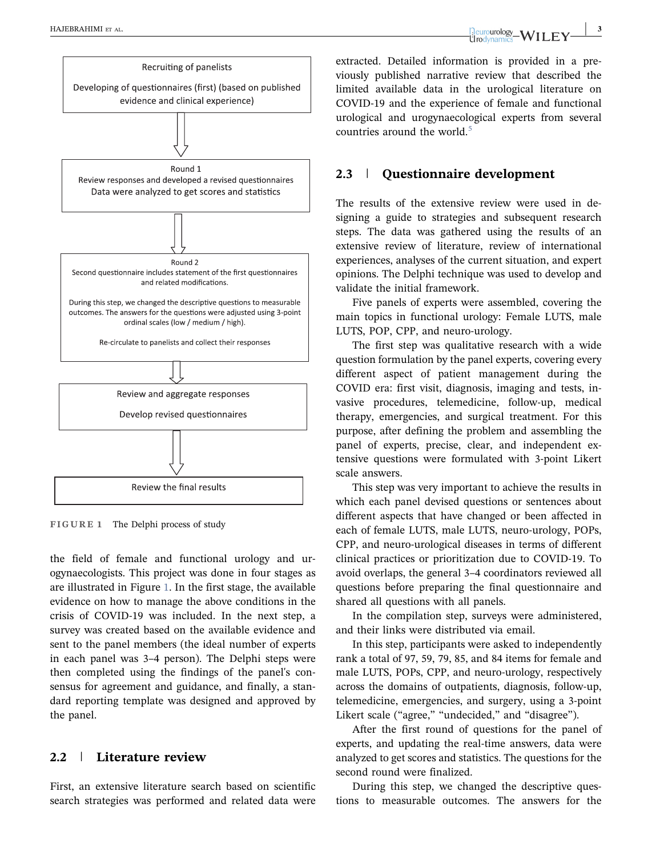<span id="page-2-0"></span>

FIGURE 1 The Delphi process of study

the field of female and functional urology and urogynaecologists. This project was done in four stages as are illustrated in Figure [1](#page-2-0). In the first stage, the available evidence on how to manage the above conditions in the crisis of COVID‐19 was included. In the next step, a survey was created based on the available evidence and sent to the panel members (the ideal number of experts in each panel was 3–4 person). The Delphi steps were then completed using the findings of the panel's consensus for agreement and guidance, and finally, a standard reporting template was designed and approved by the panel.

# 2.2 | Literature review

First, an extensive literature search based on scientific search strategies was performed and related data were extracted. Detailed information is provided in a previously published narrative review that described the limited available data in the urological literature on COVID‐19 and the experience of female and functional urological and urogynaecological experts from several countries around the world.<sup>[5](#page-6-4)</sup>

# 2.3 | Questionnaire development

The results of the extensive review were used in designing a guide to strategies and subsequent research steps. The data was gathered using the results of an extensive review of literature, review of international experiences, analyses of the current situation, and expert opinions. The Delphi technique was used to develop and validate the initial framework.

Five panels of experts were assembled, covering the main topics in functional urology: Female LUTS, male LUTS, POP, CPP, and neuro-urology.

The first step was qualitative research with a wide question formulation by the panel experts, covering every different aspect of patient management during the COVID era: first visit, diagnosis, imaging and tests, invasive procedures, telemedicine, follow‐up, medical therapy, emergencies, and surgical treatment. For this purpose, after defining the problem and assembling the panel of experts, precise, clear, and independent extensive questions were formulated with 3‐point Likert scale answers.

This step was very important to achieve the results in which each panel devised questions or sentences about different aspects that have changed or been affected in each of female LUTS, male LUTS, neuro-urology, POPs, CPP, and neuro‐urological diseases in terms of different clinical practices or prioritization due to COVID‐19. To avoid overlaps, the general 3–4 coordinators reviewed all questions before preparing the final questionnaire and shared all questions with all panels.

In the compilation step, surveys were administered, and their links were distributed via email.

In this step, participants were asked to independently rank a total of 97, 59, 79, 85, and 84 items for female and male LUTS, POPs, CPP, and neuro‐urology, respectively across the domains of outpatients, diagnosis, follow‐up, telemedicine, emergencies, and surgery, using a 3‐point Likert scale ("agree," "undecided," and "disagree").

After the first round of questions for the panel of experts, and updating the real-time answers, data were analyzed to get scores and statistics. The questions for the second round were finalized.

During this step, we changed the descriptive questions to measurable outcomes. The answers for the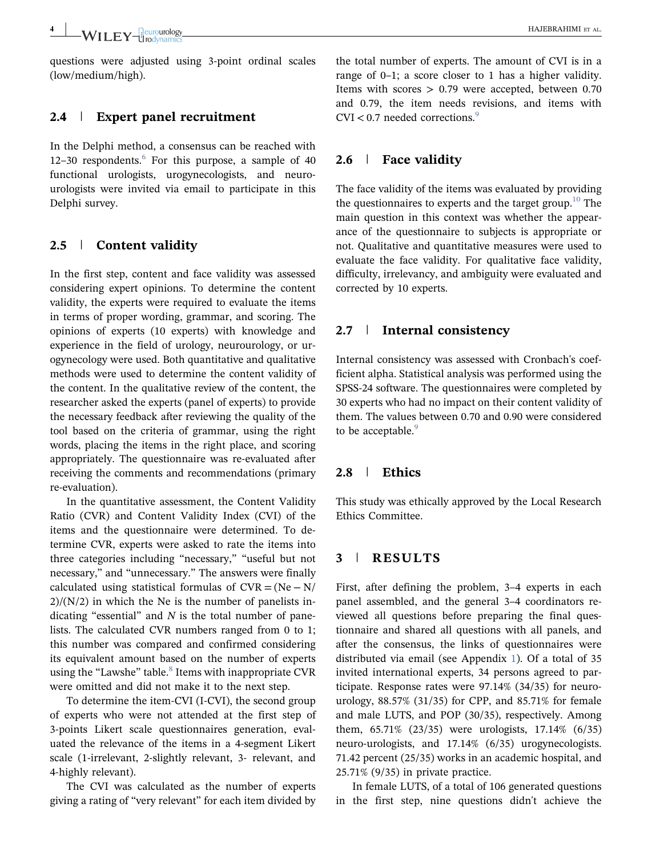questions were adjusted using 3‐point ordinal scales (low/medium/high).

# 2.4 | Expert panel recruitment

In the Delphi method, a consensus can be reached with 12–30 respondents. $6$  For this purpose, a sample of 40 functional urologists, urogynecologists, and neurourologists were invited via email to participate in this Delphi survey.

# 2.5 | Content validity

In the first step, content and face validity was assessed considering expert opinions. To determine the content validity, the experts were required to evaluate the items in terms of proper wording, grammar, and scoring. The opinions of experts (10 experts) with knowledge and experience in the field of urology, neurourology, or urogynecology were used. Both quantitative and qualitative methods were used to determine the content validity of the content. In the qualitative review of the content, the researcher asked the experts (panel of experts) to provide the necessary feedback after reviewing the quality of the tool based on the criteria of grammar, using the right words, placing the items in the right place, and scoring appropriately. The questionnaire was re‐evaluated after receiving the comments and recommendations (primary re‐evaluation).

In the quantitative assessment, the Content Validity Ratio (CVR) and Content Validity Index (CVI) of the items and the questionnaire were determined. To determine CVR, experts were asked to rate the items into three categories including "necessary," "useful but not necessary," and "unnecessary." The answers were finally calculated using statistical formulas of  $CVR = (Ne - N/A)$  $2)/(N/2)$  in which the Ne is the number of panelists indicating "essential" and  $N$  is the total number of panelists. The calculated CVR numbers ranged from 0 to 1; this number was compared and confirmed considering its equivalent amount based on the number of experts using the "Lawshe" table. $8$  Items with inappropriate CVR were omitted and did not make it to the next step.

To determine the item‐CVI (I‐CVI), the second group of experts who were not attended at the first step of 3‐points Likert scale questionnaires generation, evaluated the relevance of the items in a 4‐segment Likert scale (1‐irrelevant, 2‐slightly relevant, 3‐ relevant, and 4‐highly relevant).

The CVI was calculated as the number of experts giving a rating of "very relevant" for each item divided by

the total number of experts. The amount of CVI is in a range of 0–1; a score closer to 1 has a higher validity. Items with scores  $> 0.79$  were accepted, between 0.70 and 0.79, the item needs revisions, and items with  $CVI < 0.7$  needed corrections.<sup>[9](#page-6-7)</sup>

# 2.6 | Face validity

The face validity of the items was evaluated by providing the questionnaires to experts and the target group.<sup>[10](#page-6-8)</sup> The main question in this context was whether the appearance of the questionnaire to subjects is appropriate or not. Qualitative and quantitative measures were used to evaluate the face validity. For qualitative face validity, difficulty, irrelevancy, and ambiguity were evaluated and corrected by 10 experts.

#### 2.7 | Internal consistency

Internal consistency was assessed with Cronbach's coefficient alpha. Statistical analysis was performed using the SPSS‐24 software. The questionnaires were completed by 30 experts who had no impact on their content validity of them. The values between 0.70 and 0.90 were considered to be acceptable.<sup>9</sup>

# 2.8 | Ethics

This study was ethically approved by the Local Research Ethics Committee.

# 3 | RESULTS

First, after defining the problem, 3–4 experts in each panel assembled, and the general 3–4 coordinators reviewed all questions before preparing the final questionnaire and shared all questions with all panels, and after the consensus, the links of questionnaires were distributed via email (see Appendix 1). Of a total of 35 invited international experts, 34 persons agreed to participate. Response rates were 97.14% (34/35) for neuro‐ urology, 88.57% (31/35) for CPP, and 85.71% for female and male LUTS, and POP (30/35), respectively. Among them, 65.71% (23/35) were urologists, 17.14% (6/35) neuro‐urologists, and 17.14% (6/35) urogynecologists. 71.42 percent (25/35) works in an academic hospital, and 25.71% (9/35) in private practice.

In female LUTS, of a total of 106 generated questions in the first step, nine questions didn't achieve the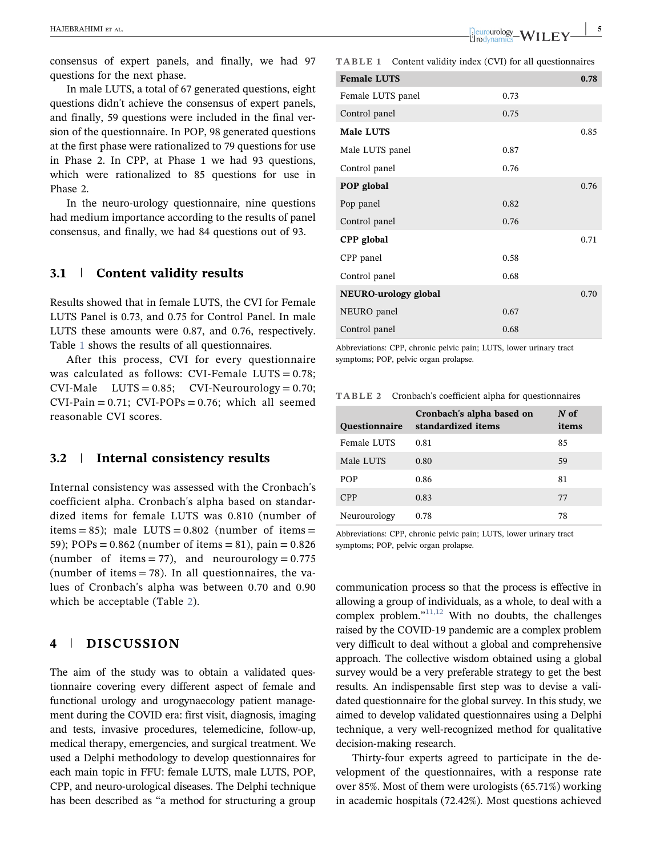consensus of expert panels, and finally, we had 97 questions for the next phase.

In male LUTS, a total of 67 generated questions, eight questions didn't achieve the consensus of expert panels, and finally, 59 questions were included in the final version of the questionnaire. In POP, 98 generated questions at the first phase were rationalized to 79 questions for use in Phase 2. In CPP, at Phase 1 we had 93 questions, which were rationalized to 85 questions for use in Phase 2.

In the neuro‐urology questionnaire, nine questions had medium importance according to the results of panel consensus, and finally, we had 84 questions out of 93.

# 3.1 | Content validity results

Results showed that in female LUTS, the CVI for Female LUTS Panel is 0.73, and 0.75 for Control Panel. In male LUTS these amounts were 0.87, and 0.76, respectively. Table [1](#page-4-0) shows the results of all questionnaires.

After this process, CVI for every questionnaire was calculated as follows: CVI-Female LUTS =  $0.78$ ;  $CVI-Male$  LUTS = 0.85; CVI-Neurourology = 0.70;  $CVI-Pain = 0.71$ :  $CVI-POPs = 0.76$ ; which all seemed reasonable CVI scores.

#### 3.2 | Internal consistency results

Internal consistency was assessed with the Cronbach's coefficient alpha. Cronbach's alpha based on standardized items for female LUTS was 0.810 (number of items = 85); male LUTS =  $0.802$  (number of items = 59); POPs = 0.862 (number of items = 81), pain = 0.826 (number of items = 77), and neurourology =  $0.775$ (number of items  $= 78$ ). In all questionnaires, the values of Cronbach's alpha was between 0.70 and 0.90 which be acceptable (Table [2](#page-4-1)).

# 4 | DISCUSSION

The aim of the study was to obtain a validated questionnaire covering every different aspect of female and functional urology and urogynaecology patient management during the COVID era: first visit, diagnosis, imaging and tests, invasive procedures, telemedicine, follow‐up, medical therapy, emergencies, and surgical treatment. We used a Delphi methodology to develop questionnaires for each main topic in FFU: female LUTS, male LUTS, POP, CPP, and neuro‐urological diseases. The Delphi technique has been described as "a method for structuring a group

<span id="page-4-0"></span>

|                             | <b>TABLE 1</b> Content validity index (CVI) for all questionnaires |      |      |
|-----------------------------|--------------------------------------------------------------------|------|------|
| <b>Female LUTS</b>          |                                                                    |      | 0.78 |
| Female LUTS panel           |                                                                    | 0.73 |      |
| Control panel               |                                                                    | 0.75 |      |
| Male LUTS                   |                                                                    |      | 0.85 |
| Male LUTS panel             |                                                                    | 0.87 |      |
| Control panel               |                                                                    | 0.76 |      |
| POP global                  |                                                                    |      | 0.76 |
| Pop panel                   |                                                                    | 0.82 |      |
| Control panel               |                                                                    | 0.76 |      |
| CPP global                  |                                                                    |      | 0.71 |
| CPP panel                   |                                                                    | 0.58 |      |
| Control panel               |                                                                    | 0.68 |      |
| <b>NEURO-urology global</b> |                                                                    |      |      |
| NEURO panel                 |                                                                    | 0.67 |      |
| Control panel               |                                                                    | 0.68 |      |

Abbreviations: CPP, chronic pelvic pain; LUTS, lower urinary tract symptoms; POP, pelvic organ prolapse.

<span id="page-4-1"></span>TABLE 2 Cronbach's coefficient alpha for questionnaires

| <b>Ouestionnaire</b> | Cronbach's alpha based on<br>standardized items | $N$ of<br>items |
|----------------------|-------------------------------------------------|-----------------|
| Female LUTS          | 0.81                                            | 85              |
| Male LUTS            | 0.80                                            | 59              |
| POP                  | 0.86                                            | 81              |
| <b>CPP</b>           | 0.83                                            | 77              |
| Neurourology         | 0.78                                            | 78              |

Abbreviations: CPP, chronic pelvic pain; LUTS, lower urinary tract symptoms; POP, pelvic organ prolapse.

communication process so that the process is effective in allowing a group of individuals, as a whole, to deal with a complex problem."<sup>[11,12](#page-6-9)</sup> With no doubts, the challenges raised by the COVID‐19 pandemic are a complex problem very difficult to deal without a global and comprehensive approach. The collective wisdom obtained using a global survey would be a very preferable strategy to get the best results. An indispensable first step was to devise a validated questionnaire for the global survey. In this study, we aimed to develop validated questionnaires using a Delphi technique, a very well‐recognized method for qualitative decision‐making research.

Thirty‐four experts agreed to participate in the development of the questionnaires, with a response rate over 85%. Most of them were urologists (65.71%) working in academic hospitals (72.42%). Most questions achieved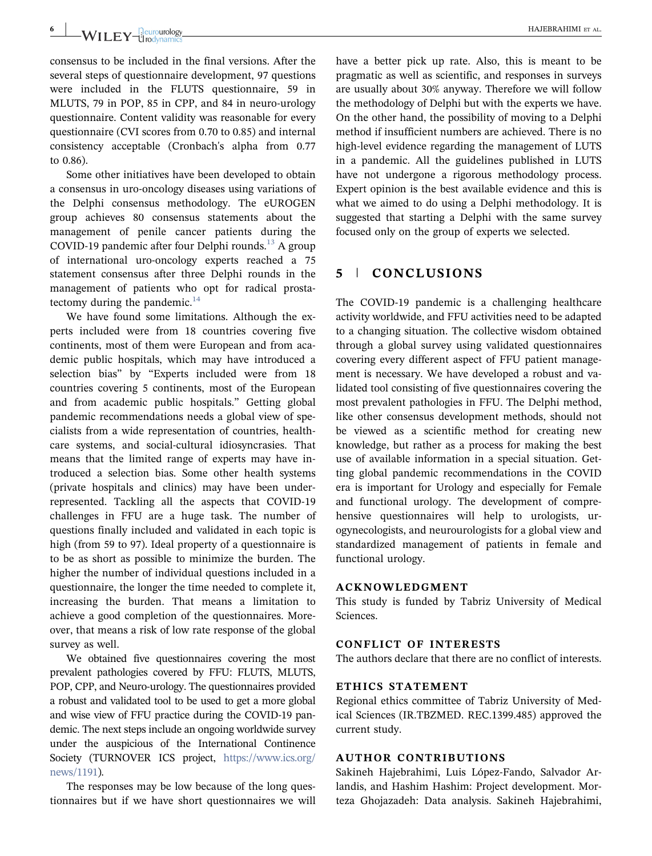# 6 | HAJEBRAHIMI ET AL.

consensus to be included in the final versions. After the several steps of questionnaire development, 97 questions were included in the FLUTS questionnaire, 59 in MLUTS, 79 in POP, 85 in CPP, and 84 in neuro‐urology questionnaire. Content validity was reasonable for every questionnaire (CVI scores from 0.70 to 0.85) and internal consistency acceptable (Cronbach's alpha from 0.77 to 0.86).

Some other initiatives have been developed to obtain a consensus in uro‐oncology diseases using variations of the Delphi consensus methodology. The eUROGEN group achieves 80 consensus statements about the management of penile cancer patients during the COVID-19 pandemic after four Delphi rounds.<sup>[13](#page-6-10)</sup> A group of international uro‐oncology experts reached a 75 statement consensus after three Delphi rounds in the management of patients who opt for radical prostatectomy during the pandemic. $14$ 

We have found some limitations. Although the experts included were from 18 countries covering five continents, most of them were European and from academic public hospitals, which may have introduced a selection bias" by "Experts included were from 18 countries covering 5 continents, most of the European and from academic public hospitals." Getting global pandemic recommendations needs a global view of specialists from a wide representation of countries, healthcare systems, and social‐cultural idiosyncrasies. That means that the limited range of experts may have introduced a selection bias. Some other health systems (private hospitals and clinics) may have been underrepresented. Tackling all the aspects that COVID‐19 challenges in FFU are a huge task. The number of questions finally included and validated in each topic is high (from 59 to 97). Ideal property of a questionnaire is to be as short as possible to minimize the burden. The higher the number of individual questions included in a questionnaire, the longer the time needed to complete it, increasing the burden. That means a limitation to achieve a good completion of the questionnaires. Moreover, that means a risk of low rate response of the global survey as well.

We obtained five questionnaires covering the most prevalent pathologies covered by FFU: FLUTS, MLUTS, POP, CPP, and Neuro‐urology. The questionnaires provided a robust and validated tool to be used to get a more global and wise view of FFU practice during the COVID‐19 pandemic. The next steps include an ongoing worldwide survey under the auspicious of the International Continence Society (TURNOVER ICS project, [https://www.ics.org/](https://www.ics.org/news/1191) [news/1191](https://www.ics.org/news/1191)).

The responses may be low because of the long questionnaires but if we have short questionnaires we will have a better pick up rate. Also, this is meant to be pragmatic as well as scientific, and responses in surveys are usually about 30% anyway. Therefore we will follow the methodology of Delphi but with the experts we have. On the other hand, the possibility of moving to a Delphi method if insufficient numbers are achieved. There is no high-level evidence regarding the management of LUTS in a pandemic. All the guidelines published in LUTS have not undergone a rigorous methodology process. Expert opinion is the best available evidence and this is what we aimed to do using a Delphi methodology. It is suggested that starting a Delphi with the same survey focused only on the group of experts we selected.

# 5 | CONCLUSIONS

The COVID-19 pandemic is a challenging healthcare activity worldwide, and FFU activities need to be adapted to a changing situation. The collective wisdom obtained through a global survey using validated questionnaires covering every different aspect of FFU patient management is necessary. We have developed a robust and validated tool consisting of five questionnaires covering the most prevalent pathologies in FFU. The Delphi method, like other consensus development methods, should not be viewed as a scientific method for creating new knowledge, but rather as a process for making the best use of available information in a special situation. Getting global pandemic recommendations in the COVID era is important for Urology and especially for Female and functional urology. The development of comprehensive questionnaires will help to urologists, urogynecologists, and neurourologists for a global view and standardized management of patients in female and functional urology.

#### ACKNOWLEDGMENT

This study is funded by Tabriz University of Medical Sciences.

#### CONFLICT OF INTERESTS

The authors declare that there are no conflict of interests.

#### ETHICS STATEMENT

Regional ethics committee of Tabriz University of Medical Sciences (IR.TBZMED. REC.1399.485) approved the current study.

#### AUTHOR CONTRIBUTIONS

Sakineh Hajebrahimi, Luis López‐Fando, Salvador Arlandis, and Hashim Hashim: Project development. Morteza Ghojazadeh: Data analysis. Sakineh Hajebrahimi,